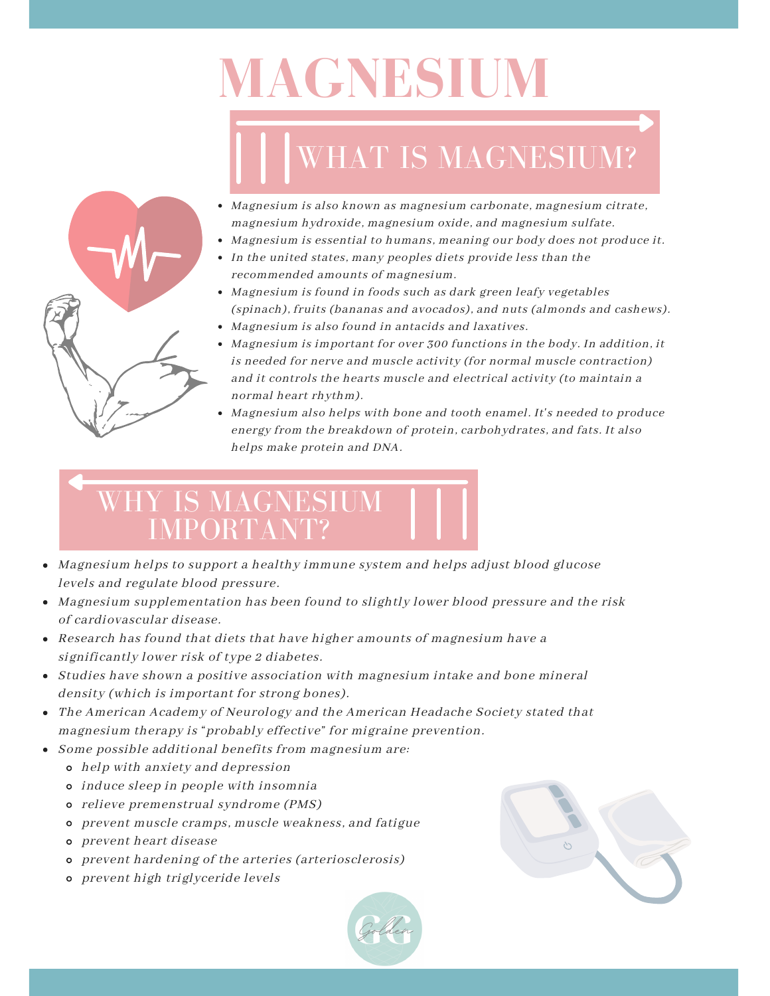# **MAGNESIUM**

## WHAT IS MAGNESIUM?



- Magnesium is also known as magnesium carbonate, magnesium citrate, magnesium hydroxide, magnesium oxide, and magnesium sulfate.
- Magnesium is essential to humans, meaning our body does not produce it.
- In the united states, many peoples diets provide less than the recommended amounts of magnesium.
- Magnesium is found in foods such as dark green leafy vegetables (spinach), fruits (bananas and avocados), and nuts (almonds and cashews).
- Magnesium is also found in antacids and laxatives.
- Magnesium is important for over 300 functions in the body. In addition, it is needed for nerve and muscle activity (for normal muscle contraction) and it controls the hearts muscle and electrical activity (to maintain a normal heart rhythm).
- Magnesium also helps with bone and tooth enamel. It's needed to produce energy from the breakdown of protein, carbohydrates, and fats. It also helps make protein and DNA.

### WHY IS MAGNESIUM IMPORTANT?

- Magnesium helps to support a healthy immune system and helps adjust blood glucose levels and regulate blood pressure.
- Magnesium supplementation has been found to slightly lower blood pressure and the risk of cardiovascular disease.
- Research has found that diets that have higher amounts of magnesium have a significantly lower risk of type 2 diabetes.
- Studies have shown a positive association with magnesium intake and bone mineral density (which is important for strong bones).
- The American Academy of Neurology and the American Headache Society stated that magnesium therapy is "probably effective" for migraine prevention.
- Some possible additional benefits from magnesium are:
	- help with anxiety and depression
	- induce sleep in people with insomnia
	- relieve premenstrual syndrome (PMS)
	- prevent muscle cramps, muscle weakness, and fatigue
	- prevent heart disease
	- prevent hardening of the arteries (arteriosclerosis)
	- prevent high triglyceride levels